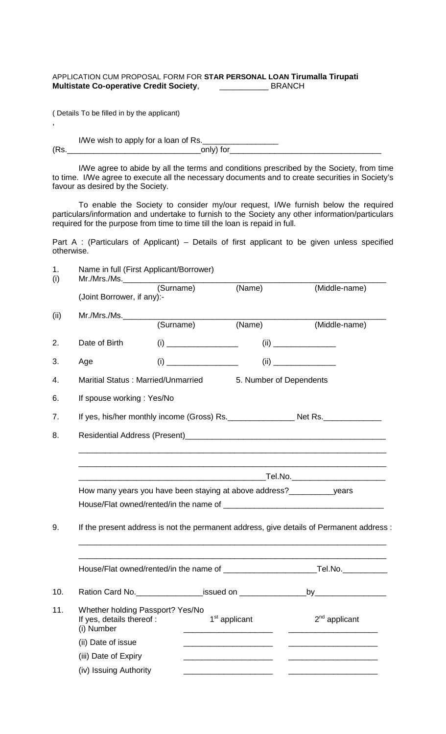## APPLICATION CUM PROPOSAL FORM FOR **STAR PERSONAL LOAN Tirumalla Tirupati Multistate Co-operative Credit Society**, \_\_\_\_\_\_\_\_\_\_\_ BRANCH

( Details To be filled in by the applicant)

,

I/We wish to apply for a loan of Rs.\_\_\_\_\_\_\_\_\_\_\_\_\_\_\_\_\_ (Rs.\_\_\_\_\_\_\_\_\_\_\_\_\_\_\_\_\_\_\_\_\_\_\_\_\_\_\_\_\_\_only) for\_\_\_\_\_\_\_\_\_\_\_\_\_\_\_\_\_\_\_\_\_\_\_\_\_\_\_\_\_\_\_\_\_\_

I/We agree to abide by all the terms and conditions prescribed by the Society, from time to time. I/We agree to execute all the necessary documents and to create securities in Society's favour as desired by the Society.

To enable the Society to consider my/our request, I/We furnish below the required particulars/information and undertake to furnish to the Society any other information/particulars required for the purpose from time to time till the loan is repaid in full.

Part A : (Particulars of Applicant) – Details of first applicant to be given unless specified otherwise.

| Name in full (First Applicant/Borrower) |                                    |                                                                                  |                                                                                          |  |  |
|-----------------------------------------|------------------------------------|----------------------------------------------------------------------------------|------------------------------------------------------------------------------------------|--|--|
| (Joint Borrower, if any):-              |                                    | $\overline{(\text{Name})}$                                                       | (Middle-name)                                                                            |  |  |
| Mr./Mrs./Ms.                            |                                    | (Surname)<br>$\frac{1}{(Name)}$                                                  | (Middle-name)                                                                            |  |  |
|                                         |                                    |                                                                                  |                                                                                          |  |  |
| Date of Birth                           |                                    |                                                                                  |                                                                                          |  |  |
| Age                                     |                                    |                                                                                  |                                                                                          |  |  |
|                                         | Maritial Status: Married/Unmarried |                                                                                  | 5. Number of Dependents                                                                  |  |  |
| If spouse working: Yes/No               |                                    |                                                                                  |                                                                                          |  |  |
|                                         |                                    |                                                                                  |                                                                                          |  |  |
|                                         |                                    |                                                                                  |                                                                                          |  |  |
|                                         |                                    |                                                                                  | How many years you have been staying at above address?___________________years           |  |  |
|                                         |                                    |                                                                                  | If the present address is not the permanent address, give details of Permanent address : |  |  |
|                                         |                                    |                                                                                  |                                                                                          |  |  |
|                                         |                                    |                                                                                  |                                                                                          |  |  |
|                                         |                                    | Ration Card No. ____________________issued on __________________________________ | $\overline{\phantom{a}}$ by                                                              |  |  |
| If yes, details thereof :<br>(i) Number | Whether holding Passport? Yes/No   | 1 <sup>st</sup> applicant                                                        | $2nd$ applicant                                                                          |  |  |
| (ii) Date of issue                      |                                    |                                                                                  |                                                                                          |  |  |
| (iii) Date of Expiry                    |                                    |                                                                                  |                                                                                          |  |  |
|                                         |                                    |                                                                                  |                                                                                          |  |  |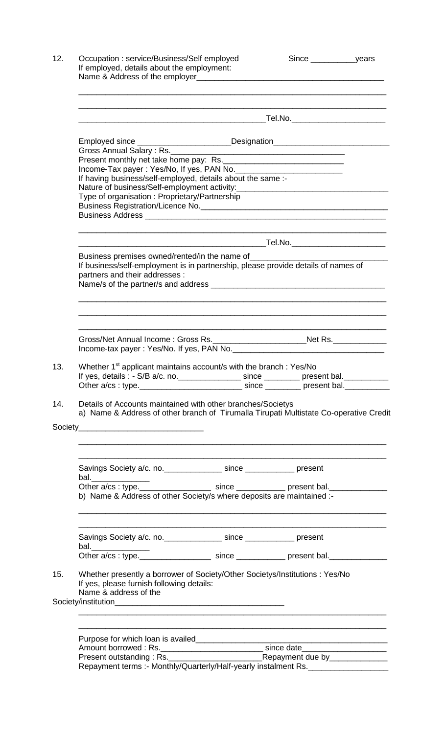|                                                             | <u> 1989 - Johann Stoff, amerikansk politiker (d. 1989)</u>                                                                                                                                                                          |  |                                                                                                                      |  |  |
|-------------------------------------------------------------|--------------------------------------------------------------------------------------------------------------------------------------------------------------------------------------------------------------------------------------|--|----------------------------------------------------------------------------------------------------------------------|--|--|
|                                                             |                                                                                                                                                                                                                                      |  |                                                                                                                      |  |  |
|                                                             | Employed since ________________________Designation______________________________                                                                                                                                                     |  |                                                                                                                      |  |  |
|                                                             |                                                                                                                                                                                                                                      |  |                                                                                                                      |  |  |
| If having business/self-employed, details about the same :- |                                                                                                                                                                                                                                      |  |                                                                                                                      |  |  |
| Type of organisation: Proprietary/Partnership               |                                                                                                                                                                                                                                      |  |                                                                                                                      |  |  |
|                                                             |                                                                                                                                                                                                                                      |  |                                                                                                                      |  |  |
|                                                             |                                                                                                                                                                                                                                      |  |                                                                                                                      |  |  |
|                                                             |                                                                                                                                                                                                                                      |  |                                                                                                                      |  |  |
|                                                             | Business premises owned/rented/in the name of <b>container and the set of the set of the set of the set of the set of the set of the set of the set of the set of the set of the set of the set of the set of the set of the set</b> |  |                                                                                                                      |  |  |
|                                                             | If business/self-employment is in partnership, please provide details of names of<br>partners and their addresses :                                                                                                                  |  |                                                                                                                      |  |  |
|                                                             |                                                                                                                                                                                                                                      |  |                                                                                                                      |  |  |
|                                                             |                                                                                                                                                                                                                                      |  |                                                                                                                      |  |  |
|                                                             |                                                                                                                                                                                                                                      |  | <u> 1989 - Johann Barn, amerikan bernama di sebagai bernama dan bernama di sebagai bernama di sebagai bernama di</u> |  |  |
|                                                             |                                                                                                                                                                                                                                      |  |                                                                                                                      |  |  |
|                                                             | Gross/Net Annual Income: Gross Rs. ____________________________Net Rs. ________________                                                                                                                                              |  |                                                                                                                      |  |  |
|                                                             |                                                                                                                                                                                                                                      |  |                                                                                                                      |  |  |
|                                                             | Whether 1 <sup>st</sup> applicant maintains account/s with the branch : Yes/No                                                                                                                                                       |  |                                                                                                                      |  |  |
|                                                             | If yes, details : - S/B a/c. no. _________________ since ________ present bal. _________                                                                                                                                             |  |                                                                                                                      |  |  |
|                                                             | Other a/cs : type. _______________________________ since __________ present bal. ___________                                                                                                                                         |  |                                                                                                                      |  |  |
|                                                             |                                                                                                                                                                                                                                      |  |                                                                                                                      |  |  |
|                                                             | Details of Accounts maintained with other branches/Societys<br>a) Name & Address of other branch of Tirumalla Tirupati Multistate Co-operative Credit                                                                                |  |                                                                                                                      |  |  |
|                                                             |                                                                                                                                                                                                                                      |  |                                                                                                                      |  |  |
|                                                             | Savings Society a/c. no. ________________ since _____________ present                                                                                                                                                                |  |                                                                                                                      |  |  |
|                                                             | bal._______________                                                                                                                                                                                                                  |  |                                                                                                                      |  |  |
|                                                             | Other a/cs: type._______________________ since ______________ present bal._____________<br>b) Name & Address of other Society/s where deposits are maintained :-                                                                     |  |                                                                                                                      |  |  |
|                                                             |                                                                                                                                                                                                                                      |  |                                                                                                                      |  |  |
|                                                             | Savings Society a/c. no. __________________ since _______________ present                                                                                                                                                            |  |                                                                                                                      |  |  |
|                                                             | bal._______________                                                                                                                                                                                                                  |  |                                                                                                                      |  |  |
|                                                             | Other a/cs : type. _____________________ since ______________ present bal. ________________________                                                                                                                                  |  |                                                                                                                      |  |  |
|                                                             | Whether presently a borrower of Society/Other Societys/Institutions : Yes/No<br>If yes, please furnish following details:<br>Name & address of the                                                                                   |  |                                                                                                                      |  |  |
|                                                             |                                                                                                                                                                                                                                      |  |                                                                                                                      |  |  |
|                                                             |                                                                                                                                                                                                                                      |  |                                                                                                                      |  |  |
|                                                             | Amount borrowed : Rs. ________________________________since date________________                                                                                                                                                     |  |                                                                                                                      |  |  |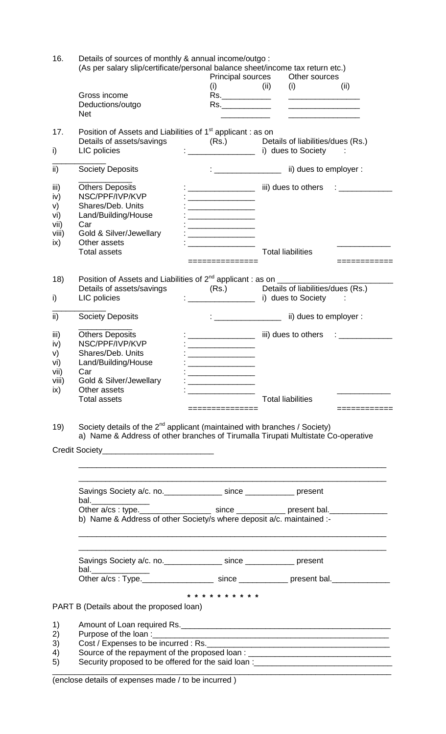| 16.       | Details of sources of monthly & annual income/outgo:<br>(As per salary slip/certificate/personal balance sheet/income tax return etc.)                                     |                                                                                                                                                                                                                                      |                                                                                                                                                                                                                                                                                                                     |              |  |  |  |
|-----------|----------------------------------------------------------------------------------------------------------------------------------------------------------------------------|--------------------------------------------------------------------------------------------------------------------------------------------------------------------------------------------------------------------------------------|---------------------------------------------------------------------------------------------------------------------------------------------------------------------------------------------------------------------------------------------------------------------------------------------------------------------|--------------|--|--|--|
|           |                                                                                                                                                                            | <b>Principal sources</b>                                                                                                                                                                                                             | Other sources                                                                                                                                                                                                                                                                                                       |              |  |  |  |
|           |                                                                                                                                                                            | (i)                                                                                                                                                                                                                                  | (ii)<br>(ii)<br>(i)                                                                                                                                                                                                                                                                                                 |              |  |  |  |
|           | Gross income                                                                                                                                                               | $\overline{\text{Rs}}$ .                                                                                                                                                                                                             |                                                                                                                                                                                                                                                                                                                     |              |  |  |  |
|           | Deductions/outgo<br><b>Net</b>                                                                                                                                             | Rs.                                                                                                                                                                                                                                  |                                                                                                                                                                                                                                                                                                                     |              |  |  |  |
| 17.       | Position of Assets and Liabilities of 1 <sup>st</sup> applicant : as on<br>Details of assets/savings                                                                       |                                                                                                                                                                                                                                      | (Rs.) Details of liabilities/dues (Rs.)                                                                                                                                                                                                                                                                             |              |  |  |  |
| i)        | LIC policies                                                                                                                                                               | $\frac{1}{2}$ . The contract of $\frac{1}{2}$                                                                                                                                                                                        | i) dues to Society                                                                                                                                                                                                                                                                                                  |              |  |  |  |
| ii)       | <b>Society Deposits</b>                                                                                                                                                    | $\mathbf{1}_{\{1,2,3,4,5\}}$ . The contract of the contract of the contract of the contract of the contract of the contract of the contract of the contract of the contract of the contract of the contract of the contract of the c | ii) dues to employer :                                                                                                                                                                                                                                                                                              |              |  |  |  |
| iii)      | <b>Others Deposits</b>                                                                                                                                                     |                                                                                                                                                                                                                                      | iii) dues to others $\qquad \qquad : \qquad \qquad \qquad$                                                                                                                                                                                                                                                          |              |  |  |  |
| iv)<br>V) | NSC/PPF/IVP/KVP<br>Shares/Deb. Units                                                                                                                                       |                                                                                                                                                                                                                                      |                                                                                                                                                                                                                                                                                                                     |              |  |  |  |
| vi)       | Land/Building/House                                                                                                                                                        | <u> 1989 - Johann Barbara, martin amerikan p</u>                                                                                                                                                                                     |                                                                                                                                                                                                                                                                                                                     |              |  |  |  |
| vii)      | Car                                                                                                                                                                        |                                                                                                                                                                                                                                      |                                                                                                                                                                                                                                                                                                                     |              |  |  |  |
| viii)     | Gold & Silver/Jewellary                                                                                                                                                    |                                                                                                                                                                                                                                      |                                                                                                                                                                                                                                                                                                                     |              |  |  |  |
| ix)       | Other assets<br><b>Total assets</b>                                                                                                                                        |                                                                                                                                                                                                                                      | <b>Total liabilities</b>                                                                                                                                                                                                                                                                                            |              |  |  |  |
|           |                                                                                                                                                                            | ==============                                                                                                                                                                                                                       |                                                                                                                                                                                                                                                                                                                     | ============ |  |  |  |
| 18)       | Position of Assets and Liabilities of 2 <sup>nd</sup> applicant : as on ___________________                                                                                |                                                                                                                                                                                                                                      |                                                                                                                                                                                                                                                                                                                     |              |  |  |  |
|           |                                                                                                                                                                            |                                                                                                                                                                                                                                      |                                                                                                                                                                                                                                                                                                                     |              |  |  |  |
| i)        |                                                                                                                                                                            |                                                                                                                                                                                                                                      |                                                                                                                                                                                                                                                                                                                     |              |  |  |  |
| ii)       | <b>Society Deposits</b>                                                                                                                                                    |                                                                                                                                                                                                                                      | $\frac{1}{2}$ $\frac{1}{2}$ $\frac{1}{2}$ $\frac{1}{2}$ $\frac{1}{2}$ $\frac{1}{2}$ $\frac{1}{2}$ $\frac{1}{2}$ $\frac{1}{2}$ $\frac{1}{2}$ $\frac{1}{2}$ $\frac{1}{2}$ $\frac{1}{2}$ $\frac{1}{2}$ $\frac{1}{2}$ $\frac{1}{2}$ $\frac{1}{2}$ $\frac{1}{2}$ $\frac{1}{2}$ $\frac{1}{2}$ $\frac{1}{2}$ $\frac{1}{2}$ |              |  |  |  |
| iii)      | <b>Others Deposits</b>                                                                                                                                                     |                                                                                                                                                                                                                                      | iii) dues to others $\qquad \qquad : \qquad \qquad \qquad \qquad$                                                                                                                                                                                                                                                   |              |  |  |  |
| iv)       | NSC/PPF/IVP/KVP                                                                                                                                                            |                                                                                                                                                                                                                                      |                                                                                                                                                                                                                                                                                                                     |              |  |  |  |
| V)<br>vi) | Shares/Deb. Units<br>Land/Building/House                                                                                                                                   |                                                                                                                                                                                                                                      |                                                                                                                                                                                                                                                                                                                     |              |  |  |  |
| vii)      | Car                                                                                                                                                                        |                                                                                                                                                                                                                                      |                                                                                                                                                                                                                                                                                                                     |              |  |  |  |
| viii)     | Gold & Silver/Jewellary                                                                                                                                                    | <u> Listen de la contrata de la contrata de la contrata de la contrata de la contrata de la contrata de la con</u>                                                                                                                   |                                                                                                                                                                                                                                                                                                                     |              |  |  |  |
| ix)       | Other assets                                                                                                                                                               |                                                                                                                                                                                                                                      |                                                                                                                                                                                                                                                                                                                     |              |  |  |  |
|           | <b>Total assets</b>                                                                                                                                                        | ==============                                                                                                                                                                                                                       | <b>Total liabilities</b>                                                                                                                                                                                                                                                                                            | ============ |  |  |  |
| 19)       | Society details of the 2 <sup>nd</sup> applicant (maintained with branches / Society)<br>a) Name & Address of other branches of Tirumalla Tirupati Multistate Co-operative |                                                                                                                                                                                                                                      |                                                                                                                                                                                                                                                                                                                     |              |  |  |  |
|           |                                                                                                                                                                            |                                                                                                                                                                                                                                      |                                                                                                                                                                                                                                                                                                                     |              |  |  |  |
|           |                                                                                                                                                                            |                                                                                                                                                                                                                                      |                                                                                                                                                                                                                                                                                                                     |              |  |  |  |
|           | Savings Society a/c. no. _________________ since ______________ present<br>bal._________________                                                                           |                                                                                                                                                                                                                                      |                                                                                                                                                                                                                                                                                                                     |              |  |  |  |
|           |                                                                                                                                                                            |                                                                                                                                                                                                                                      |                                                                                                                                                                                                                                                                                                                     |              |  |  |  |
|           | b) Name & Address of other Society/s where deposit a/c. maintained :-                                                                                                      |                                                                                                                                                                                                                                      |                                                                                                                                                                                                                                                                                                                     |              |  |  |  |
|           |                                                                                                                                                                            |                                                                                                                                                                                                                                      | <u> 1989 - Johann Harry Harry Harry Harry Harry Harry Harry Harry Harry Harry Harry Harry Harry Harry Harry Harry</u>                                                                                                                                                                                               |              |  |  |  |
|           | Savings Society a/c. no. _________________ since ______________ present<br>bal.________________                                                                            |                                                                                                                                                                                                                                      |                                                                                                                                                                                                                                                                                                                     |              |  |  |  |
|           | Other a/cs: Type. ______________________ since ______________ present bal. ________________________                                                                        |                                                                                                                                                                                                                                      |                                                                                                                                                                                                                                                                                                                     |              |  |  |  |
|           | PART B (Details about the proposed loan)                                                                                                                                   | * * * * * * * * * *                                                                                                                                                                                                                  |                                                                                                                                                                                                                                                                                                                     |              |  |  |  |
| 1)        |                                                                                                                                                                            |                                                                                                                                                                                                                                      |                                                                                                                                                                                                                                                                                                                     |              |  |  |  |
| 2)        |                                                                                                                                                                            |                                                                                                                                                                                                                                      |                                                                                                                                                                                                                                                                                                                     |              |  |  |  |
| 3)        |                                                                                                                                                                            |                                                                                                                                                                                                                                      |                                                                                                                                                                                                                                                                                                                     |              |  |  |  |
| 4)        | Source of the repayment of the proposed loan : _________________________________                                                                                           |                                                                                                                                                                                                                                      |                                                                                                                                                                                                                                                                                                                     |              |  |  |  |
| 5)        | Security proposed to be offered for the said loan :_____________________________                                                                                           |                                                                                                                                                                                                                                      |                                                                                                                                                                                                                                                                                                                     |              |  |  |  |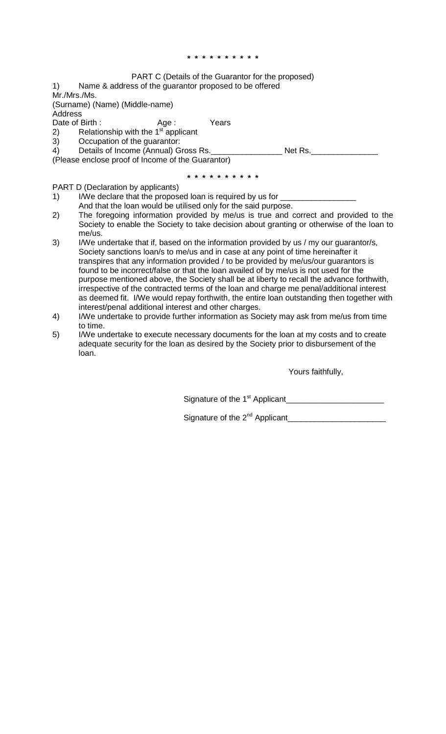## **\* \* \* \* \* \* \* \* \* \***

## PART C (Details of the Guarantor for the proposed)

1) Name & address of the guarantor proposed to be offered Mr./Mrs./Ms.

(Surname) (Name) (Middle-name)

Address<br>Date of Birth:

Date of Birth : The Mage : The Years

2) Relationship with the 1 $s<sup>st</sup>$  applicant

3) Occupation of the guarantor:

4) Details of Income (Annual) Gross Rs. \_\_\_\_\_\_\_\_\_\_\_\_\_\_\_\_\_\_\_\_\_ Net Rs. \_\_\_\_\_\_\_\_\_\_\_

(Please enclose proof of Income of the Guarantor)

**\* \* \* \* \* \* \* \* \* \***

PART D (Declaration by applicants)

- 1) I/We declare that the proposed loan is required by us for  $\equiv$ 
	- And that the loan would be utilised only for the said purpose.
- 2) The foregoing information provided by me/us is true and correct and provided to the Society to enable the Society to take decision about granting or otherwise of the loan to me/us.
- 3) I/We undertake that if, based on the information provided by us / my our guarantor/s, Society sanctions loan/s to me/us and in case at any point of time hereinafter it transpires that any information provided / to be provided by me/us/our guarantors is found to be incorrect/false or that the loan availed of by me/us is not used for the purpose mentioned above, the Society shall be at liberty to recall the advance forthwith, irrespective of the contracted terms of the loan and charge me penal/additional interest as deemed fit. I/We would repay forthwith, the entire loan outstanding then together with interest/penal additional interest and other charges.
- 4) I/We undertake to provide further information as Society may ask from me/us from time to time.
- 5) I/We undertake to execute necessary documents for the loan at my costs and to create adequate security for the loan as desired by the Society prior to disbursement of the loan.

Yours faithfully,

Signature of the 1st Applicant\_\_\_\_\_\_\_\_\_\_\_\_\_\_\_\_\_\_\_\_\_\_

Signature of the 2nd Applicant\_\_\_\_\_\_\_\_\_\_\_\_\_\_\_\_\_\_\_\_\_\_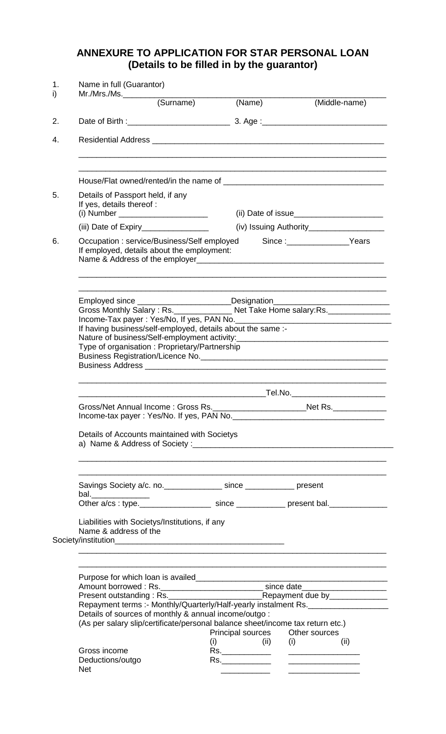## **ANNEXURE TO APPLICATION FOR STAR PERSONAL LOAN (Details to be filled in by the guarantor)**

|                                                                                                                                                                                                                                                                                                                            | (Surname)                                                                                                                                                                                        | (Name)                                          |                                              | (Middle-name) |  |  |
|----------------------------------------------------------------------------------------------------------------------------------------------------------------------------------------------------------------------------------------------------------------------------------------------------------------------------|--------------------------------------------------------------------------------------------------------------------------------------------------------------------------------------------------|-------------------------------------------------|----------------------------------------------|---------------|--|--|
|                                                                                                                                                                                                                                                                                                                            |                                                                                                                                                                                                  |                                                 |                                              |               |  |  |
|                                                                                                                                                                                                                                                                                                                            |                                                                                                                                                                                                  |                                                 |                                              |               |  |  |
|                                                                                                                                                                                                                                                                                                                            |                                                                                                                                                                                                  |                                                 |                                              |               |  |  |
| Details of Passport held, if any<br>If yes, details thereof :                                                                                                                                                                                                                                                              |                                                                                                                                                                                                  |                                                 |                                              |               |  |  |
|                                                                                                                                                                                                                                                                                                                            |                                                                                                                                                                                                  |                                                 | (iv) Issuing Authority______________________ |               |  |  |
| Occupation: service/Business/Self employed<br>If employed, details about the employment:<br>Name & Address of the employer example and the emblometric contract of the emblometric contract of the emblometric contract of the emblometric contract of the emblometric contract of the emblometric contract of the emblome |                                                                                                                                                                                                  |                                                 | Since :______________________Years           |               |  |  |
| Employed since ________________________Designation______________________________                                                                                                                                                                                                                                           |                                                                                                                                                                                                  |                                                 |                                              |               |  |  |
|                                                                                                                                                                                                                                                                                                                            | Gross Monthly Salary: Rs. _______________ Net Take Home salary: Rs. ____________<br>If having business/self-employed, details about the same :-<br>Type of organisation: Proprietary/Partnership |                                                 |                                              |               |  |  |
|                                                                                                                                                                                                                                                                                                                            |                                                                                                                                                                                                  |                                                 |                                              |               |  |  |
|                                                                                                                                                                                                                                                                                                                            |                                                                                                                                                                                                  |                                                 |                                              |               |  |  |
|                                                                                                                                                                                                                                                                                                                            | Gross/Net Annual Income: Gross Rs. __________________________Net Rs. ____________                                                                                                                |                                                 |                                              |               |  |  |
| Details of Accounts maintained with Societys                                                                                                                                                                                                                                                                               |                                                                                                                                                                                                  |                                                 |                                              |               |  |  |
|                                                                                                                                                                                                                                                                                                                            |                                                                                                                                                                                                  |                                                 |                                              |               |  |  |
| Savings Society a/c. no. _________________ since ______________ present                                                                                                                                                                                                                                                    |                                                                                                                                                                                                  |                                                 |                                              |               |  |  |
| bal._______________<br>Other a/cs: type. _____________________ since _____________ present bal. ______________                                                                                                                                                                                                             |                                                                                                                                                                                                  |                                                 |                                              |               |  |  |
| Liabilities with Societys/Institutions, if any<br>Name & address of the                                                                                                                                                                                                                                                    |                                                                                                                                                                                                  |                                                 |                                              |               |  |  |
|                                                                                                                                                                                                                                                                                                                            |                                                                                                                                                                                                  |                                                 |                                              |               |  |  |
|                                                                                                                                                                                                                                                                                                                            |                                                                                                                                                                                                  |                                                 |                                              |               |  |  |
| Amount borrowed : Rs. _____________________________ since date__________________                                                                                                                                                                                                                                           |                                                                                                                                                                                                  |                                                 |                                              |               |  |  |
| Repayment terms :- Monthly/Quarterly/Half-yearly instalment Rs.<br>Details of sources of monthly & annual income/outgo:<br>(As per salary slip/certificate/personal balance sheet/income tax return etc.)                                                                                                                  |                                                                                                                                                                                                  |                                                 |                                              |               |  |  |
|                                                                                                                                                                                                                                                                                                                            |                                                                                                                                                                                                  | Principal sources Other sources<br>$(i)$ $(ii)$ | (i)                                          | (ii)          |  |  |